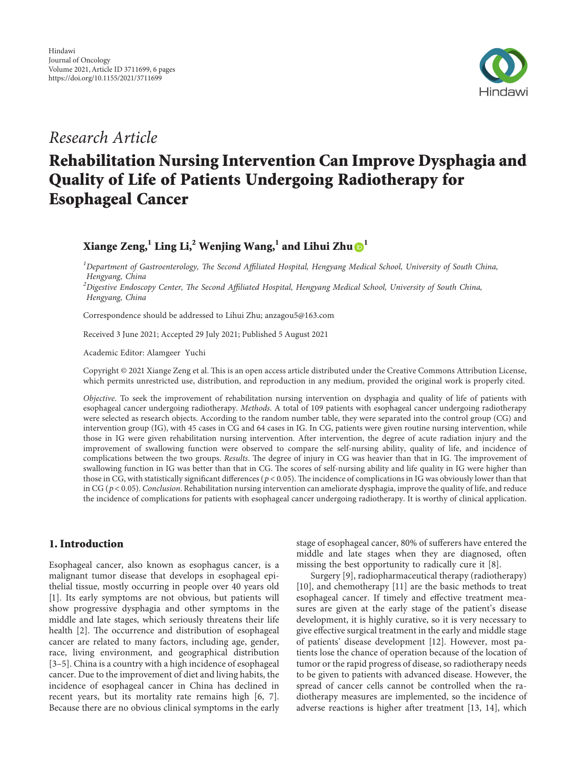

*Research Article*

# **Rehabilitation Nursing Intervention Can Improve Dysphagia and Quality of Life of Patients Undergoing Radiotherapy for Esophageal Cancer**

**Xiange Zeng,**<sup>[1](https://orcid.org/0000-0002-2390-0197)</sup> **Ling Li,**<sup>2</sup> **Wenjing Wang,**<sup>1</sup> and Lihui Zhu $\mathbf{\Theta}$ <sup>1</sup>

<sup>1</sup>Department of Gastroenterology, The Second Affiliated Hospital, Hengyang Medical School, University of South China, *Hengyang, China*

<sup>2</sup>Digestive Endoscopy Center, The Second Affiliated Hospital, Hengyang Medical School, University of South China, *Hengyang, China*

Correspondence should be addressed to Lihui Zhu; [anzagou5@163.com](mailto:anzagou5@163.com)

Received 3 June 2021; Accepted 29 July 2021; Published 5 August 2021

Academic Editor: Alamgeer Yuchi

Copyright © 2021 Xiange Zeng et al. This is an open access article distributed under the [Creative Commons Attribution License](https://creativecommons.org/licenses/by/4.0/), which permits unrestricted use, distribution, and reproduction in any medium, provided the original work is properly cited.

*Objective*. To seek the improvement of rehabilitation nursing intervention on dysphagia and quality of life of patients with esophageal cancer undergoing radiotherapy. *Methods*. A total of 109 patients with esophageal cancer undergoing radiotherapy were selected as research objects. According to the random number table, they were separated into the control group (CG) and intervention group (IG), with 45 cases in CG and 64 cases in IG. In CG, patients were given routine nursing intervention, while those in IG were given rehabilitation nursing intervention. After intervention, the degree of acute radiation injury and the improvement of swallowing function were observed to compare the self-nursing ability, quality of life, and incidence of complications between the two groups. *Results*. The degree of injury in CG was heavier than that in IG. The improvement of swallowing function in IG was better than that in CG. The scores of self-nursing ability and life quality in IG were higher than those in CG, with statistically significant differences ( $p < 0.05$ ). The incidence of complications in IG was obviously lower than that in CG (*p* < 0*.*05). *Conclusion*. Rehabilitation nursing intervention can ameliorate dysphagia, improve the quality of life, and reduce the incidence of complications for patients with esophageal cancer undergoing radiotherapy. It is worthy of clinical application.

# **1. Introduction**

Esophageal cancer, also known as esophagus cancer, is a malignant tumor disease that develops in esophageal epithelial tissue, mostly occurring in people over 40 years old [\[1\]](#page-4-0). Its early symptoms are not obvious, but patients will show progressive dysphagia and other symptoms in the middle and late stages, which seriously threatens their life health [\[2\]](#page-4-0). The occurrence and distribution of esophageal cancer are related to many factors, including age, gender, race, living environment, and geographical distribution [\[3–5](#page-4-0)]. China is a country with a high incidence of esophageal cancer. Due to the improvement of diet and living habits, the incidence of esophageal cancer in China has declined in recent years, but its mortality rate remains high [\[6](#page-4-0), [7](#page-4-0)]. Because there are no obvious clinical symptoms in the early stage of esophageal cancer, 80% of sufferers have entered the middle and late stages when they are diagnosed, often missing the best opportunity to radically cure it [\[8](#page-4-0)].

Surgery [\[9](#page-4-0)], radiopharmaceutical therapy (radiotherapy) [\[10](#page-4-0)], and chemotherapy [\[11](#page-4-0)] are the basic methods to treat esophageal cancer. If timely and effective treatment measures are given at the early stage of the patient's disease development, it is highly curative, so it is very necessary to give effective surgical treatment in the early and middle stage of patients' disease development [[12\]](#page-4-0). However, most patients lose the chance of operation because of the location of tumor or the rapid progress of disease, so radiotherapy needs to be given to patients with advanced disease. However, the spread of cancer cells cannot be controlled when the radiotherapy measures are implemented, so the incidence of adverse reactions is higher after treatment [[13, 14](#page-4-0)], which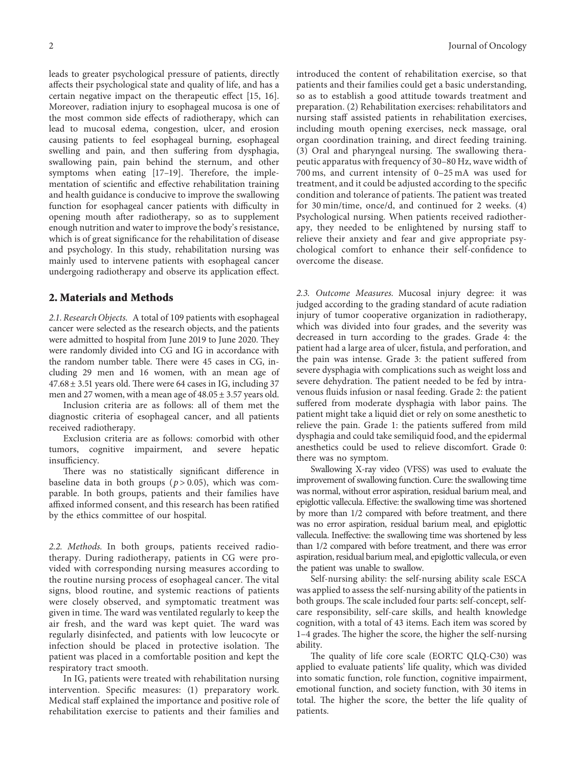leads to greater psychological pressure of patients, directly affects their psychological state and quality of life, and has a certain negative impact on the therapeutic effect [[15, 16](#page-4-0)]. Moreover, radiation injury to esophageal mucosa is one of the most common side effects of radiotherapy, which can lead to mucosal edema, congestion, ulcer, and erosion causing patients to feel esophageal burning, esophageal swelling and pain, and then suffering from dysphagia, swallowing pain, pain behind the sternum, and other symptoms when eating  $[17-19]$ . Therefore, the implementation of scientific and effective rehabilitation training and health guidance is conducive to improve the swallowing function for esophageal cancer patients with difficulty in opening mouth after radiotherapy, so as to supplement enough nutrition and water to improve the body's resistance, which is of great significance for the rehabilitation of disease and psychology. In this study, rehabilitation nursing was mainly used to intervene patients with esophageal cancer undergoing radiotherapy and observe its application effect.

#### **2. Materials and Methods**

*2.1. Research Objects.* A total of 109 patients with esophageal cancer were selected as the research objects, and the patients were admitted to hospital from June 2019 to June 2020. They were randomly divided into CG and IG in accordance with the random number table. There were 45 cases in CG, including 29 men and 16 women, with an mean age of  $47.68 \pm 3.51$  years old. There were 64 cases in IG, including 37 men and 27 women, with a mean age of  $48.05 \pm 3.57$  years old.

Inclusion criteria are as follows: all of them met the diagnostic criteria of esophageal cancer, and all patients received radiotherapy.

Exclusion criteria are as follows: comorbid with other tumors, cognitive impairment, and severe hepatic insufficiency.

There was no statistically significant difference in baseline data in both groups (*p* > 0*.*05), which was comparable. In both groups, patients and their families have affixed informed consent, and this research has been ratified by the ethics committee of our hospital.

*2.2. Methods.* In both groups, patients received radiotherapy. During radiotherapy, patients in CG were provided with corresponding nursing measures according to the routine nursing process of esophageal cancer. The vital signs, blood routine, and systemic reactions of patients were closely observed, and symptomatic treatment was given in time. The ward was ventilated regularly to keep the air fresh, and the ward was kept quiet. The ward was regularly disinfected, and patients with low leucocyte or infection should be placed in protective isolation. The patient was placed in a comfortable position and kept the respiratory tract smooth.

In IG, patients were treated with rehabilitation nursing intervention. Specific measures: (1) preparatory work. Medical staff explained the importance and positive role of rehabilitation exercise to patients and their families and

introduced the content of rehabilitation exercise, so that patients and their families could get a basic understanding, so as to establish a good attitude towards treatment and preparation. (2) Rehabilitation exercises: rehabilitators and nursing staff assisted patients in rehabilitation exercises, including mouth opening exercises, neck massage, oral organ coordination training, and direct feeding training.  $(3)$  Oral and pharyngeal nursing. The swallowing therapeutic apparatus with frequency of 30–80 Hz, wave width of 700 ms, and current intensity of 0–25 mA was used for treatment, and it could be adjusted according to the specific condition and tolerance of patients. The patient was treated for 30 min/time, once/d, and continued for 2 weeks. (4) Psychological nursing. When patients received radiotherapy, they needed to be enlightened by nursing staff to relieve their anxiety and fear and give appropriate psychological comfort to enhance their self-confidence to overcome the disease.

*2.3. Outcome Measures.* Mucosal injury degree: it was judged according to the grading standard of acute radiation injury of tumor cooperative organization in radiotherapy, which was divided into four grades, and the severity was decreased in turn according to the grades. Grade 4: the patient had a large area of ulcer, fistula, and perforation, and the pain was intense. Grade 3: the patient suffered from severe dysphagia with complications such as weight loss and severe dehydration. The patient needed to be fed by intravenous fluids infusion or nasal feeding. Grade 2: the patient suffered from moderate dysphagia with labor pains. The patient might take a liquid diet or rely on some anesthetic to relieve the pain. Grade 1: the patients suffered from mild dysphagia and could take semiliquid food, and the epidermal anesthetics could be used to relieve discomfort. Grade 0: there was no symptom.

Swallowing X-ray video (VFSS) was used to evaluate the improvement of swallowing function. Cure: the swallowing time was normal, without error aspiration, residual barium meal, and epiglottic vallecula. Effective: the swallowing time was shortened by more than 1/2 compared with before treatment, and there was no error aspiration, residual barium meal, and epiglottic vallecula. Ineffective: the swallowing time was shortened by less than 1/2 compared with before treatment, and there was error aspiration, residual barium meal, and epiglottic vallecula, or even the patient was unable to swallow.

Self-nursing ability: the self-nursing ability scale ESCA was applied to assess the self-nursing ability of the patients in both groups. The scale included four parts: self-concept, selfcare responsibility, self-care skills, and health knowledge cognition, with a total of 43 items. Each item was scored by 1-4 grades. The higher the score, the higher the self-nursing ability.

The quality of life core scale (EORTC QLQ-C30) was applied to evaluate patients' life quality, which was divided into somatic function, role function, cognitive impairment, emotional function, and society function, with 30 items in total. The higher the score, the better the life quality of patients.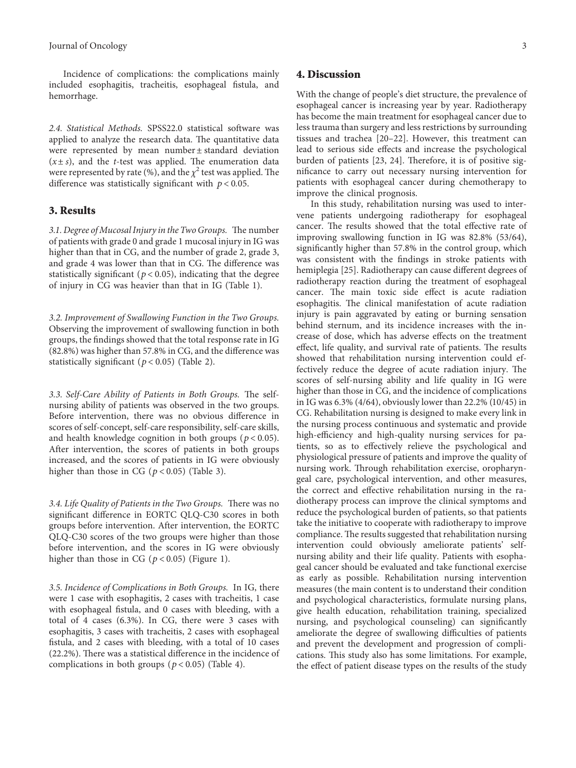Incidence of complications: the complications mainly included esophagitis, tracheitis, esophageal fistula, and hemorrhage.

*2.4. Statistical Methods.* SPSS22.0 statistical software was applied to analyze the research data. The quantitative data were represented by mean number ± standard deviation  $(x \pm s)$ , and the *t*-test was applied. The enumeration data were represented by rate (%), and the  $\chi^2$  test was applied. The difference was statistically significant with *p* < 0*.*05.

## **3. Results**

3.1. Degree of Mucosal Injury in the Two Groups. The number of patients with grade 0 and grade 1 mucosal injury in IG was higher than that in CG, and the number of grade 2, grade 3, and grade 4 was lower than that in CG. The difference was statistically significant ( $p < 0.05$ ), indicating that the degree of injury in CG was heavier than that in IG (Table [1\)](#page-3-0).

*3.2. Improvement of Swallowing Function in the Two Groups.* Observing the improvement of swallowing function in both groups, the findings showed that the total response rate in IG (82.8%) was higher than 57.8% in CG, and the difference was statistically significant  $(p < 0.05)$  (Table [2](#page-3-0)).

3.3. Self-Care Ability of Patients in Both Groups. The selfnursing ability of patients was observed in the two groups. Before intervention, there was no obvious difference in scores of self-concept, self-care responsibility, self-care skills, and health knowledge cognition in both groups (*p* < 0*.*05). After intervention, the scores of patients in both groups increased, and the scores of patients in IG were obviously higher than those in CG ( $p < 0.05$ ) (Table [3\)](#page-3-0).

*3.4. Life Quality of Patients in the Two Groups.* There was no significant difference in EORTC QLQ-C30 scores in both groups before intervention. After intervention, the EORTC QLQ-C30 scores of the two groups were higher than those before intervention, and the scores in IG were obviously higher than those in CG ( $p < 0.05$ ) (Figure [1](#page-3-0)).

*3.5. Incidence of Complications in Both Groups.* In IG, there were 1 case with esophagitis, 2 cases with tracheitis, 1 case with esophageal fistula, and 0 cases with bleeding, with a total of 4 cases (6.3%). In CG, there were 3 cases with esophagitis, 3 cases with tracheitis, 2 cases with esophageal fistula, and 2 cases with bleeding, with a total of 10 cases  $(22.2\%)$ . There was a statistical difference in the incidence of complications in both groups ( $p < 0.05$ ) (Table [4\)](#page-4-0).

#### **4. Discussion**

With the change of people's diet structure, the prevalence of esophageal cancer is increasing year by year. Radiotherapy has become the main treatment for esophageal cancer due to less trauma than surgery and less restrictions by surrounding tissues and trachea [[20](#page-4-0)[–22\]](#page-5-0). However, this treatment can lead to serious side effects and increase the psychological burden of patients [\[23, 24](#page-5-0)]. Therefore, it is of positive significance to carry out necessary nursing intervention for patients with esophageal cancer during chemotherapy to improve the clinical prognosis.

In this study, rehabilitation nursing was used to intervene patients undergoing radiotherapy for esophageal cancer. The results showed that the total effective rate of improving swallowing function in IG was 82.8% (53/64), significantly higher than 57.8% in the control group, which was consistent with the findings in stroke patients with hemiplegia [[25](#page-5-0)]. Radiotherapy can cause different degrees of radiotherapy reaction during the treatment of esophageal cancer. The main toxic side effect is acute radiation esophagitis. The clinical manifestation of acute radiation injury is pain aggravated by eating or burning sensation behind sternum, and its incidence increases with the increase of dose, which has adverse effects on the treatment effect, life quality, and survival rate of patients. The results showed that rehabilitation nursing intervention could effectively reduce the degree of acute radiation injury. The scores of self-nursing ability and life quality in IG were higher than those in CG, and the incidence of complications in IG was 6.3% (4/64), obviously lower than 22.2% (10/45) in CG. Rehabilitation nursing is designed to make every link in the nursing process continuous and systematic and provide high-efficiency and high-quality nursing services for patients, so as to effectively relieve the psychological and physiological pressure of patients and improve the quality of nursing work. Through rehabilitation exercise, oropharyngeal care, psychological intervention, and other measures, the correct and effective rehabilitation nursing in the radiotherapy process can improve the clinical symptoms and reduce the psychological burden of patients, so that patients take the initiative to cooperate with radiotherapy to improve compliance. The results suggested that rehabilitation nursing intervention could obviously ameliorate patients' selfnursing ability and their life quality. Patients with esophageal cancer should be evaluated and take functional exercise as early as possible. Rehabilitation nursing intervention measures (the main content is to understand their condition and psychological characteristics, formulate nursing plans, give health education, rehabilitation training, specialized nursing, and psychological counseling) can significantly ameliorate the degree of swallowing difficulties of patients and prevent the development and progression of complications. This study also has some limitations. For example, the effect of patient disease types on the results of the study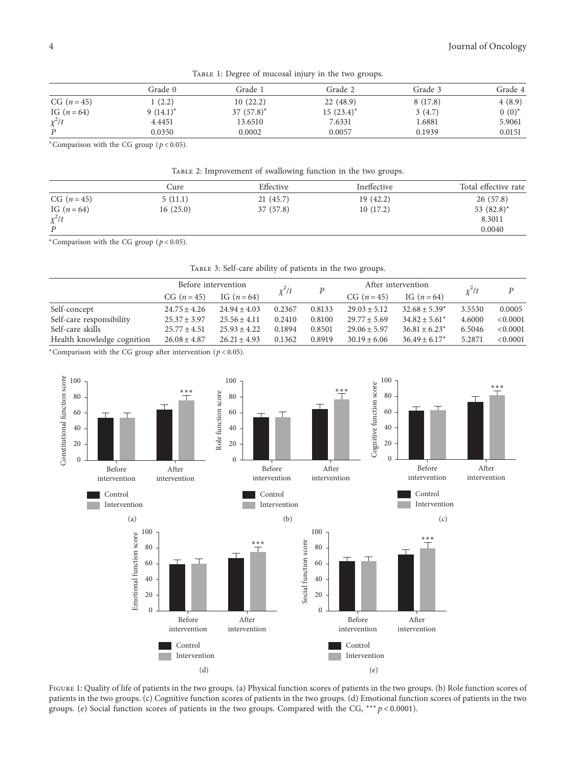<span id="page-3-0"></span>

| $\frac{1}{2}$ . The state of the contract of the state of the state $\frac{1}{2}$ , $\frac{1}{2}$ , $\frac{1}{2}$ , $\frac{1}{2}$ , $\frac{1}{2}$ , $\frac{1}{2}$ , $\frac{1}{2}$ , $\frac{1}{2}$ , $\frac{1}{2}$ , $\frac{1}{2}$ , $\frac{1}{2}$ , $\frac{1}{2}$ , $\frac{1}{2}$ , |             |              |              |         |          |  |  |
|-------------------------------------------------------------------------------------------------------------------------------------------------------------------------------------------------------------------------------------------------------------------------------------|-------------|--------------|--------------|---------|----------|--|--|
|                                                                                                                                                                                                                                                                                     | Grade 0     | Grade 1      | Grade 2      | Grade 3 | Grade 4  |  |  |
| $CG (n=45)$                                                                                                                                                                                                                                                                         | 1(2.2)      | 10(22.2)     | 22(48.9)     | 8(17.8) | 4(8.9)   |  |  |
| IG $(n = 64)$                                                                                                                                                                                                                                                                       | $9(14.1)^*$ | $37(57.8)^*$ | $15(23.4)^*$ | 3(4.7)  | $0(0)^*$ |  |  |
| $\chi^2/t$                                                                                                                                                                                                                                                                          | 4.4451      | 13.6510      | 7.6331       | 1.6881  | 5.9061   |  |  |
| P                                                                                                                                                                                                                                                                                   | 0.0350      | 0.0002       | 0.0057       | 0.1939  | 0.0151   |  |  |

TABLE 1: Degree of mucosal injury in the two groups.

<sup>∗</sup>Comparison with the CG group (*p* < 0*.*05).

Table 2: Improvement of swallowing function in the two groups.

|                  | Cure     | Effective | Ineffective | Total effective rate |
|------------------|----------|-----------|-------------|----------------------|
| $CG (n=45)$      | 5(11.1)  | 21(45.7)  | 19(42.2)    | 26(57.8)             |
| IG $(n = 64)$    | 16(25.0) | 37(57.8)  | 10(17.2)    | 53 (82.8)*           |
| $\chi^2/t$       |          |           |             | 8.3011               |
| $\boldsymbol{P}$ |          |           |             | 0.0040               |

<sup>∗</sup>Comparison with the CG group (*p* < 0*.*05).

Table 3: Self-care ability of patients in the two groups.

|                            | Before intervention |                  |            |                  | After intervention |                    |            | P        |
|----------------------------|---------------------|------------------|------------|------------------|--------------------|--------------------|------------|----------|
|                            | $CG (n=45)$         | IG $(n = 64)$    | $\chi^2/t$ | $\boldsymbol{P}$ | CG $(n=45)$        | IG $(n = 64)$      | $\chi^2/t$ |          |
| Self-concept               | $24.75 \pm 4.26$    | $24.94 \pm 4.03$ | 0.2367     | 0.8133           | $29.03 \pm 5.12$   | $32.68 \pm 5.39^*$ | 3.5530     | 0.0005   |
| Self-care responsibility   | $25.37 \pm 3.97$    | $25.56 \pm 4.11$ | 0.2410     | 0.8100           | $29.77 \pm 5.69$   | $34.82 \pm 5.61^*$ | 4.6000     | < 0.0001 |
| Self-care skills           | $25.77 \pm 4.51$    | $25.93 \pm 4.22$ | 0.1894     | 0.8501           | $29.06 \pm 5.97$   | $36.81 \pm 6.23^*$ | 6.5046     | < 0.0001 |
| Health knowledge cognition | $26.08 \pm 4.87$    | $26.21 \pm 4.93$ | 0.1362     | 0.8919           | $30.19 \pm 6.06$   | $36.49 \pm 6.17^*$ | 5.2871     | < 0.0001 |

<sup>∗</sup>Comparison with the CG group after intervention (*p* < 0*.*05).



FIGURE 1: Quality of life of patients in the two groups. (a) Physical function scores of patients in the two groups. (b) Role function scores of patients in the two groups. (c) Cognitive function scores of patients in the two groups. (d) Emotional function scores of patients in the two groups. (e) Social function scores of patients in the two groups. Compared with the CG, ∗∗∗*p* < 0*.*0001).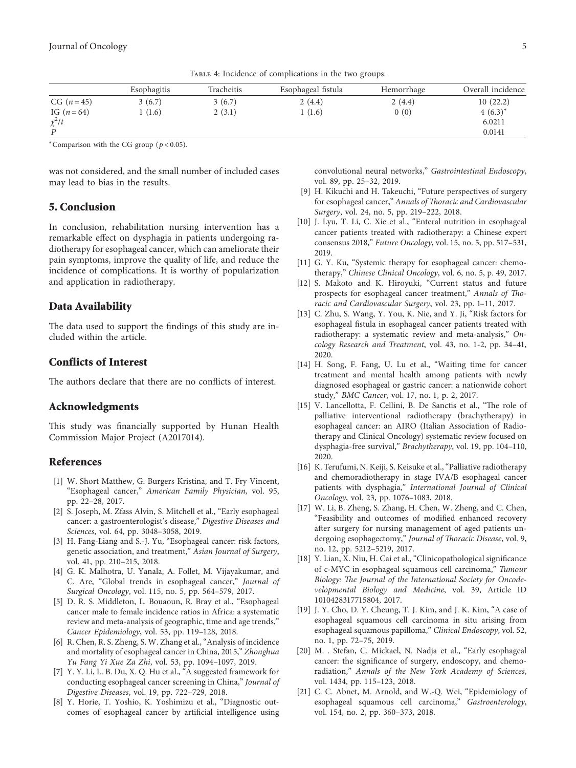<span id="page-4-0"></span>

|               | Esophagitis | Tracheitis | Esophageal fistula | Hemorrhage | Overall incidence |
|---------------|-------------|------------|--------------------|------------|-------------------|
| $CG (n=45)$   | 3(6.7)      | 3(6.7)     | 2(4.4)             | 2(4.4)     | 10(22.2)          |
| IG $(n = 64)$ | (1.6)       | 2(3.1)     | (1.6)              | 0(0)       | $4(6.3)^{*}$      |
| $\chi^2/t$    |             |            |                    |            | 6.0211            |
| D             |             |            |                    |            | 0.0141            |

TABLE 4: Incidence of complications in the two groups.

<sup>∗</sup>Comparison with the CG group (*p* < 0*.*05).

was not considered, and the small number of included cases may lead to bias in the results.

## **5. Conclusion**

In conclusion, rehabilitation nursing intervention has a remarkable effect on dysphagia in patients undergoing radiotherapy for esophageal cancer, which can ameliorate their pain symptoms, improve the quality of life, and reduce the incidence of complications. It is worthy of popularization and application in radiotherapy.

# **Data Availability**

The data used to support the findings of this study are included within the article.

# **Conflicts of Interest**

The authors declare that there are no conflicts of interest.

#### **Acknowledgments**

This study was financially supported by Hunan Health Commission Major Project (A2017014).

## **References**

- [1] W. Short Matthew, G. Burgers Kristina, and T. Fry Vincent, "Esophageal cancer," *American Family Physician*, vol. 95, pp. 22–28, 2017.
- [2] S. Joseph, M. Zfass Alvin, S. Mitchell et al., "Early esophageal cancer: a gastroenterologist's disease," *Digestive Diseases and Sciences*, vol. 64, pp. 3048–3058, 2019.
- [3] H. Fang-Liang and S.-J. Yu, "Esophageal cancer: risk factors, genetic association, and treatment," *Asian Journal of Surgery*, vol. 41, pp. 210–215, 2018.
- [4] G. K. Malhotra, U. Yanala, A. Follet, M. Vijayakumar, and C. Are, "Global trends in esophageal cancer," *Journal of Surgical Oncology*, vol. 115, no. 5, pp. 564–579, 2017.
- [5] D. R. S. Middleton, L. Bouaoun, R. Bray et al., "Esophageal cancer male to female incidence ratios in Africa: a systematic review and meta-analysis of geographic, time and age trends," *Cancer Epidemiology*, vol. 53, pp. 119–128, 2018.
- [6] R. Chen, R. S. Zheng, S. W. Zhang et al., "Analysis of incidence and mortality of esophageal cancer in China, 2015," *Zhonghua Yu Fang Yi Xue Za Zhi*, vol. 53, pp. 1094–1097, 2019.
- [7] Y. Y. Li, L. B. Du, X. Q. Hu et al., "A suggested framework for conducting esophageal cancer screening in China," *Journal of Digestive Diseases*, vol. 19, pp. 722–729, 2018.
- [8] Y. Horie, T. Yoshio, K. Yoshimizu et al., "Diagnostic outcomes of esophageal cancer by artificial intelligence using

convolutional neural networks," *Gastrointestinal Endoscopy*, vol. 89, pp. 25–32, 2019.

- [9] H. Kikuchi and H. Takeuchi, "Future perspectives of surgery for esophageal cancer," Annals of Thoracic and Cardiovascular *Surgery*, vol. 24, no. 5, pp. 219–222, 2018.
- [10] J. Lyu, T. Li, C. Xie et al., "Enteral nutrition in esophageal cancer patients treated with radiotherapy: a Chinese expert consensus 2018," *Future Oncology*, vol. 15, no. 5, pp. 517–531, 2019.
- [11] G. Y. Ku, "Systemic therapy for esophageal cancer: chemotherapy," *Chinese Clinical Oncology*, vol. 6, no. 5, p. 49, 2017.
- [12] S. Makoto and K. Hiroyuki, "Current status and future prospects for esophageal cancer treatment," Annals of Tho*racic and Cardiovascular Surgery*, vol. 23, pp. 1–11, 2017.
- [13] C. Zhu, S. Wang, Y. You, K. Nie, and Y. Ji, "Risk factors for esophageal fistula in esophageal cancer patients treated with radiotherapy: a systematic review and meta-analysis," *Oncology Research and Treatment*, vol. 43, no. 1-2, pp. 34–41, 2020.
- [14] H. Song, F. Fang, U. Lu et al., "Waiting time for cancer treatment and mental health among patients with newly diagnosed esophageal or gastric cancer: a nationwide cohort study," *BMC Cancer*, vol. 17, no. 1, p. 2, 2017.
- [15] V. Lancellotta, F. Cellini, B. De Sanctis et al., "The role of palliative interventional radiotherapy (brachytherapy) in esophageal cancer: an AIRO (Italian Association of Radiotherapy and Clinical Oncology) systematic review focused on dysphagia-free survival," *Brachytherapy*, vol. 19, pp. 104–110, 2020.
- [16] K. Terufumi, N. Keiji, S. Keisuke et al., "Palliative radiotherapy and chemoradiotherapy in stage IVA/B esophageal cancer patients with dysphagia," *International Journal of Clinical Oncology*, vol. 23, pp. 1076–1083, 2018.
- [17] W. Li, B. Zheng, S. Zhang, H. Chen, W. Zheng, and C. Chen, "Feasibility and outcomes of modified enhanced recovery after surgery for nursing management of aged patients undergoing esophagectomy," *Journal of Thoracic Disease*, vol. 9, no. 12, pp. 5212–5219, 2017.
- [18] Y. Lian, X. Niu, H. Cai et al., "Clinicopathological significance of c-MYC in esophageal squamous cell carcinoma," *Tumour* Biology: The Journal of the International Society for Oncode*velopmental Biology and Medicine*, vol. 39, Article ID 1010428317715804, 2017.
- [19] J. Y. Cho, D. Y. Cheung, T. J. Kim, and J. K. Kim, "A case of esophageal squamous cell carcinoma in situ arising from esophageal squamous papilloma," *Clinical Endoscopy*, vol. 52, no. 1, pp. 72–75, 2019.
- [20] M. . Stefan, C. Mickael, N. Nadja et al., "Early esophageal cancer: the significance of surgery, endoscopy, and chemoradiation," *Annals of the New York Academy of Sciences*, vol. 1434, pp. 115–123, 2018.
- [21] C. C. Abnet, M. Arnold, and W.-Q. Wei, "Epidemiology of esophageal squamous cell carcinoma," *Gastroenterology*, vol. 154, no. 2, pp. 360–373, 2018.